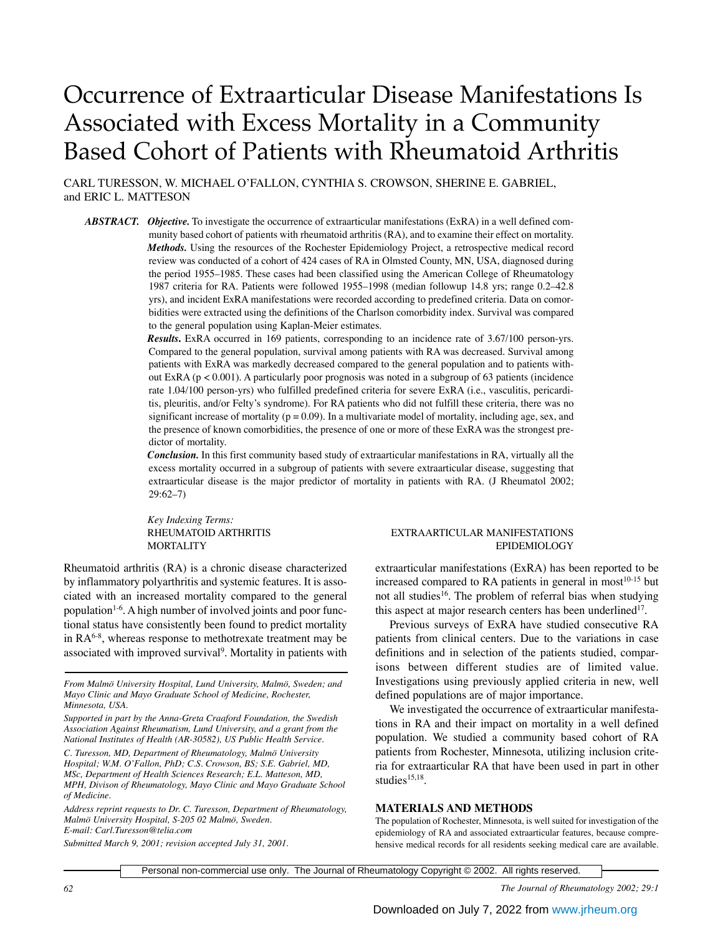# Occurrence of Extraarticular Disease Manifestations Is Associated with Excess Mortality in a Community Based Cohort of Patients with Rheumatoid Arthritis

CARL TURESSON, W. MICHAEL O'FALLON, CYNTHIA S. CROWSON, SHERINE E. GABRIEL, and ERIC L. MATTESON

*ABSTRACT. Objective.* To investigate the occurrence of extraarticular manifestations (ExRA) in a well defined community based cohort of patients with rheumatoid arthritis (RA), and to examine their effect on mortality. *Methods.* Using the resources of the Rochester Epidemiology Project, a retrospective medical record review was conducted of a cohort of 424 cases of RA in Olmsted County, MN, USA, diagnosed during the period 1955–1985. These cases had been classified using the American College of Rheumatology 1987 criteria for RA. Patients were followed 1955–1998 (median followup 14.8 yrs; range 0.2–42.8 yrs), and incident ExRA manifestations were recorded according to predefined criteria. Data on comorbidities were extracted using the definitions of the Charlson comorbidity index. Survival was compared to the general population using Kaplan-Meier estimates.

> *Results***.** ExRA occurred in 169 patients, corresponding to an incidence rate of 3.67/100 person-yrs. Compared to the general population, survival among patients with RA was decreased. Survival among patients with ExRA was markedly decreased compared to the general population and to patients without ExRA ( $p < 0.001$ ). A particularly poor prognosis was noted in a subgroup of 63 patients (incidence rate 1.04/100 person-yrs) who fulfilled predefined criteria for severe ExRA (i.e., vasculitis, pericarditis, pleuritis, and/or Felty's syndrome). For RA patients who did not fulfill these criteria, there was no significant increase of mortality ( $p = 0.09$ ). In a multivariate model of mortality, including age, sex, and the presence of known comorbidities, the presence of one or more of these ExRA was the strongest predictor of mortality.

> *Conclusion.* In this first community based study of extraarticular manifestations in RA, virtually all the excess mortality occurred in a subgroup of patients with severe extraarticular disease, suggesting that extraarticular disease is the major predictor of mortality in patients with RA. (J Rheumatol 2002; 29:62–7)

*Key Indexing Terms:*

Rheumatoid arthritis (RA) is a chronic disease characterized by inflammatory polyarthritis and systemic features. It is associated with an increased mortality compared to the general population<sup>1-6</sup>. A high number of involved joints and poor functional status have consistently been found to predict mortality in  $RA<sup>6-8</sup>$ , whereas response to methotrexate treatment may be associated with improved survival<sup>9</sup>. Mortality in patients with

*From Malmö University Hospital, Lund University, Malmö, Sweden; and Mayo Clinic and Mayo Graduate School of Medicine, Rochester, Minnesota, USA.*

*Supported in part by the Anna-Greta Craaford Foundation, the Swedish Association Against Rheumatism, Lund University, and a grant from the National Institutes of Health (AR-30582), US Public Health Service.*

*C. Turesson, MD, Department of Rheumatology, Malmö University Hospital; W.M. O'Fallon, PhD; C.S. Crowson, BS; S.E. Gabriel, MD, MSc, Department of Health Sciences Research; E.L. Matteson, MD, MPH, Divison of Rheumatology, Mayo Clinic and Mayo Graduate School of Medicine.*

*Address reprint requests to Dr. C. Turesson, Department of Rheumatology, Malmö University Hospital, S-205 02 Malmö, Sweden. E-mail: Carl.Turesson@telia.com*

*Submitted March 9, 2001; revision accepted July 31, 2001.*

# RHEUMATOID ARTHRITIS **EXTRAARTICULAR MANIFESTATIONS** MORTALITY EPIDEMIOLOGY

extraarticular manifestations (ExRA) has been reported to be increased compared to RA patients in general in most $10^{-15}$  but not all studies<sup>16</sup>. The problem of referral bias when studying this aspect at major research centers has been underlined $17$ .

Previous surveys of ExRA have studied consecutive RA patients from clinical centers. Due to the variations in case definitions and in selection of the patients studied, comparisons between different studies are of limited value. Investigations using previously applied criteria in new, well defined populations are of major importance.

We investigated the occurrence of extraarticular manifestations in RA and their impact on mortality in a well defined population. We studied a community based cohort of RA patients from Rochester, Minnesota, utilizing inclusion criteria for extraarticular RA that have been used in part in other studies<sup>15,18</sup>.

### **MATERIALS AND METHODS**

The population of Rochester, Minnesota, is well suited for investigation of the epidemiology of RA and associated extraarticular features, because comprehensive medical records for all residents seeking medical care are available.

Personal non-commercial use only. The Journal of Rheumatology Copyright © 2002. All rights reserved.

*62 The Journal of Rheumatology 2002; 29:1*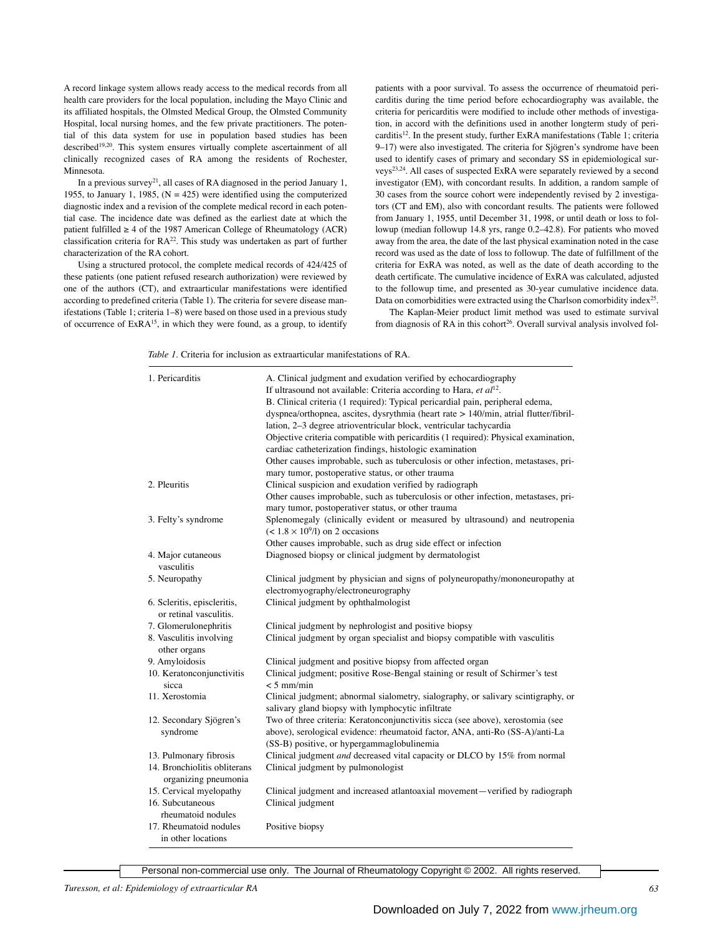A record linkage system allows ready access to the medical records from all health care providers for the local population, including the Mayo Clinic and its affiliated hospitals, the Olmsted Medical Group, the Olmsted Community Hospital, local nursing homes, and the few private practitioners. The potential of this data system for use in population based studies has been described<sup>19,20</sup>. This system ensures virtually complete ascertainment of all clinically recognized cases of RA among the residents of Rochester, Minnesota.

In a previous survey<sup>21</sup>, all cases of RA diagnosed in the period January 1, 1955, to January 1, 1985,  $(N = 425)$  were identified using the computerized diagnostic index and a revision of the complete medical record in each potential case. The incidence date was defined as the earliest date at which the patient fulfilled  $\geq$  4 of the 1987 American College of Rheumatology (ACR) classification criteria for  $RA^{22}$ . This study was undertaken as part of further characterization of the RA cohort.

Using a structured protocol, the complete medical records of 424/425 of these patients (one patient refused research authorization) were reviewed by one of the authors (CT), and extraarticular manifestations were identified according to predefined criteria (Table 1). The criteria for severe disease manifestations (Table 1; criteria 1–8) were based on those used in a previous study of occurrence of ExRA15, in which they were found, as a group, to identify patients with a poor survival. To assess the occurrence of rheumatoid pericarditis during the time period before echocardiography was available, the criteria for pericarditis were modified to include other methods of investigation, in accord with the definitions used in another longterm study of pericarditis<sup>12</sup>. In the present study, further ExRA manifestations (Table 1; criteria 9–17) were also investigated. The criteria for Sjögren's syndrome have been used to identify cases of primary and secondary SS in epidemiological surveys23,24. All cases of suspected ExRA were separately reviewed by a second investigator (EM), with concordant results. In addition, a random sample of 30 cases from the source cohort were independently revised by 2 investigators (CT and EM), also with concordant results. The patients were followed from January 1, 1955, until December 31, 1998, or until death or loss to followup (median followup 14.8 yrs, range 0.2–42.8). For patients who moved away from the area, the date of the last physical examination noted in the case record was used as the date of loss to followup. The date of fulfillment of the criteria for ExRA was noted, as well as the date of death according to the death certificate. The cumulative incidence of ExRA was calculated, adjusted to the followup time, and presented as 30-year cumulative incidence data. Data on comorbidities were extracted using the Charlson comorbidity index<sup>25</sup>.

The Kaplan-Meier product limit method was used to estimate survival from diagnosis of RA in this cohort<sup>26</sup>. Overall survival analysis involved fol-

*Table 1.* Criteria for inclusion as extraarticular manifestations of RA.

| 1. Pericarditis                                       | A. Clinical judgment and exudation verified by echocardiography<br>If ultrasound not available: Criteria according to Hara, et $al^{12}$ .<br>B. Clinical criteria (1 required): Typical pericardial pain, peripheral edema,<br>dyspnea/orthopnea, ascites, dysrythmia (heart rate > 140/min, atrial flutter/fibril-<br>lation, 2-3 degree atrioventricular block, ventricular tachycardia<br>Objective criteria compatible with pericarditis (1 required): Physical examination,<br>cardiac catheterization findings, histologic examination<br>Other causes improbable, such as tuberculosis or other infection, metastases, pri-<br>mary tumor, postoperative status, or other trauma |
|-------------------------------------------------------|------------------------------------------------------------------------------------------------------------------------------------------------------------------------------------------------------------------------------------------------------------------------------------------------------------------------------------------------------------------------------------------------------------------------------------------------------------------------------------------------------------------------------------------------------------------------------------------------------------------------------------------------------------------------------------------|
| 2. Pleuritis                                          | Clinical suspicion and exudation verified by radiograph<br>Other causes improbable, such as tuberculosis or other infection, metastases, pri-<br>mary tumor, postoperativer status, or other trauma                                                                                                                                                                                                                                                                                                                                                                                                                                                                                      |
| 3. Felty's syndrome                                   | Splenomegaly (clinically evident or measured by ultrasound) and neutropenia<br>$(< 1.8 \times 10^9/l)$ on 2 occasions<br>Other causes improbable, such as drug side effect or infection                                                                                                                                                                                                                                                                                                                                                                                                                                                                                                  |
| 4. Major cutaneous<br>vasculitis                      | Diagnosed biopsy or clinical judgment by dermatologist                                                                                                                                                                                                                                                                                                                                                                                                                                                                                                                                                                                                                                   |
| 5. Neuropathy                                         | Clinical judgment by physician and signs of polyneuropathy/mononeuropathy at<br>electromyography/electroneurography                                                                                                                                                                                                                                                                                                                                                                                                                                                                                                                                                                      |
| 6. Scleritis, episcleritis,<br>or retinal vasculitis. | Clinical judgment by ophthalmologist                                                                                                                                                                                                                                                                                                                                                                                                                                                                                                                                                                                                                                                     |
| 7. Glomerulonephritis                                 | Clinical judgment by nephrologist and positive biopsy                                                                                                                                                                                                                                                                                                                                                                                                                                                                                                                                                                                                                                    |
| 8. Vasculitis involving<br>other organs               | Clinical judgment by organ specialist and biopsy compatible with vasculitis                                                                                                                                                                                                                                                                                                                                                                                                                                                                                                                                                                                                              |
| 9. Amyloidosis                                        | Clinical judgment and positive biopsy from affected organ                                                                                                                                                                                                                                                                                                                                                                                                                                                                                                                                                                                                                                |
| 10. Keratonconjunctivitis<br>sicca                    | Clinical judgment; positive Rose-Bengal staining or result of Schirmer's test<br>$< 5$ mm/min                                                                                                                                                                                                                                                                                                                                                                                                                                                                                                                                                                                            |
| 11. Xerostomia                                        | Clinical judgment; abnormal sialometry, sialography, or salivary scintigraphy, or<br>salivary gland biopsy with lymphocytic infiltrate                                                                                                                                                                                                                                                                                                                                                                                                                                                                                                                                                   |
| 12. Secondary Sjögren's<br>syndrome                   | Two of three criteria: Keratonconjunctivitis sicca (see above), xerostomia (see<br>above), serological evidence: rheumatoid factor, ANA, anti-Ro (SS-A)/anti-La<br>(SS-B) positive, or hypergammaglobulinemia                                                                                                                                                                                                                                                                                                                                                                                                                                                                            |
| 13. Pulmonary fibrosis                                | Clinical judgment and decreased vital capacity or DLCO by 15% from normal                                                                                                                                                                                                                                                                                                                                                                                                                                                                                                                                                                                                                |
| 14. Bronchiolitis obliterans<br>organizing pneumonia  | Clinical judgment by pulmonologist                                                                                                                                                                                                                                                                                                                                                                                                                                                                                                                                                                                                                                                       |
| 15. Cervical myelopathy                               | Clinical judgment and increased atlantoaxial movement—verified by radiograph                                                                                                                                                                                                                                                                                                                                                                                                                                                                                                                                                                                                             |
| 16. Subcutaneous<br>rheumatoid nodules                | Clinical judgment                                                                                                                                                                                                                                                                                                                                                                                                                                                                                                                                                                                                                                                                        |
| 17. Rheumatoid nodules<br>in other locations          | Positive biopsy                                                                                                                                                                                                                                                                                                                                                                                                                                                                                                                                                                                                                                                                          |

Personal non-commercial use only. The Journal of Rheumatology Copyright © 2002. All rights reserved.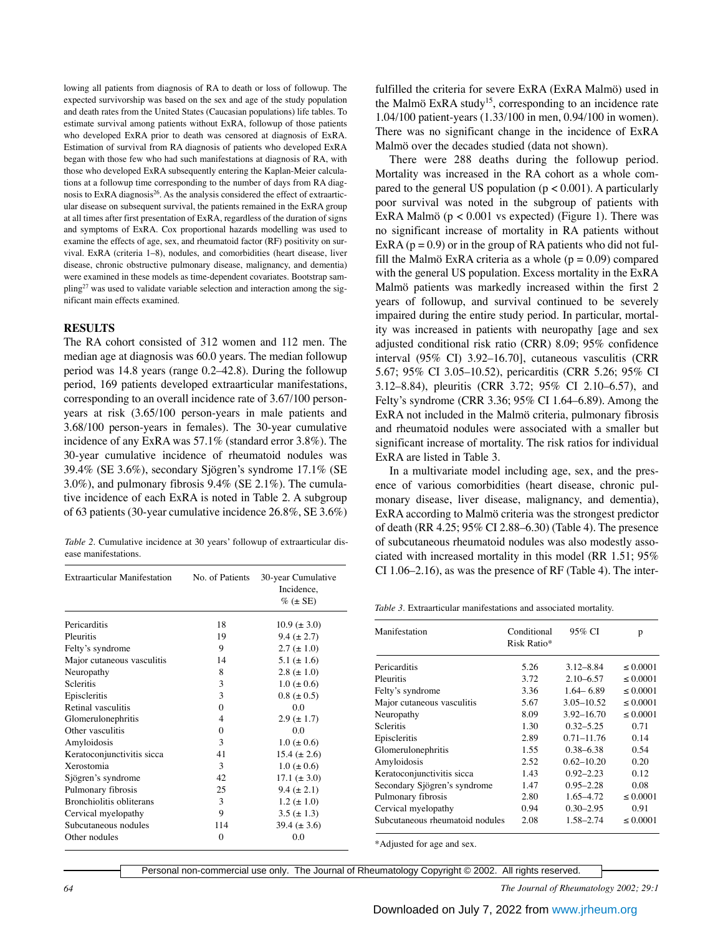lowing all patients from diagnosis of RA to death or loss of followup. The expected survivorship was based on the sex and age of the study population and death rates from the United States (Caucasian populations) life tables. To estimate survival among patients without ExRA, followup of those patients who developed ExRA prior to death was censored at diagnosis of ExRA. Estimation of survival from RA diagnosis of patients who developed ExRA began with those few who had such manifestations at diagnosis of RA, with those who developed ExRA subsequently entering the Kaplan-Meier calculations at a followup time corresponding to the number of days from RA diagnosis to ExRA diagnosis<sup>26</sup>. As the analysis considered the effect of extraarticular disease on subsequent survival, the patients remained in the ExRA group at all times after first presentation of ExRA, regardless of the duration of signs and symptoms of ExRA. Cox proportional hazards modelling was used to examine the effects of age, sex, and rheumatoid factor (RF) positivity on survival. ExRA (criteria 1–8), nodules, and comorbidities (heart disease, liver disease, chronic obstructive pulmonary disease, malignancy, and dementia) were examined in these models as time-dependent covariates. Bootstrap sampling<sup>27</sup> was used to validate variable selection and interaction among the significant main effects examined.

### **RESULTS**

The RA cohort consisted of 312 women and 112 men. The median age at diagnosis was 60.0 years. The median followup period was 14.8 years (range 0.2–42.8). During the followup period, 169 patients developed extraarticular manifestations, corresponding to an overall incidence rate of 3.67/100 personyears at risk (3.65/100 person-years in male patients and 3.68/100 person-years in females). The 30-year cumulative incidence of any ExRA was 57.1% (standard error 3.8%). The 30-year cumulative incidence of rheumatoid nodules was 39.4% (SE 3.6%), secondary Sjögren's syndrome 17.1% (SE 3.0%), and pulmonary fibrosis 9.4% (SE 2.1%). The cumulative incidence of each ExRA is noted in Table 2. A subgroup of 63 patients (30-year cumulative incidence 26.8%, SE 3.6%)

*Table 2.* Cumulative incidence at 30 years' followup of extraarticular disease manifestations.

| <b>Extraarticular Manifestation</b> | No. of Patients | 30-year Cumulative<br>Incidence,<br>$\%$ ( $\pm$ SE) |
|-------------------------------------|-----------------|------------------------------------------------------|
| Pericarditis                        | 18              | $10.9 \ (\pm 3.0)$                                   |
| Pleuritis                           | 19              | $9.4 (\pm 2.7)$                                      |
| Felty's syndrome                    | 9               | $2.7 (\pm 1.0)$                                      |
| Major cutaneous vasculitis          | 14              | 5.1 ( $\pm$ 1.6)                                     |
| Neuropathy                          | 8               | 2.8 ( $\pm$ 1.0)                                     |
| <b>Scleritis</b>                    | 3               | $1.0 \ (\pm 0.6)$                                    |
| Episcleritis                        | 3               | $0.8 (\pm 0.5)$                                      |
| Retinal vasculitis                  | $\Omega$        | 0.0                                                  |
| Glomerulonephritis                  | 4               | $2.9 \ (\pm 1.7)$                                    |
| Other vasculitis                    | $\Omega$        | 0.0                                                  |
| Amyloidosis                         | 3               | $1.0 (\pm 0.6)$                                      |
| Keratoconjunctivitis sicca          | 41              | 15.4 $(\pm 2.6)$                                     |
| Xerostomia                          | $\mathcal{E}$   | $1.0 (\pm 0.6)$                                      |
| Sjögren's syndrome                  | 42              | 17.1 $(\pm 3.0)$                                     |
| Pulmonary fibrosis                  | 25              | $9.4 (\pm 2.1)$                                      |
| <b>Bronchiolitis obliterans</b>     | 3               | $1.2 \ (\pm 1.0)$                                    |
| Cervical myelopathy                 | 9               | $3.5 (\pm 1.3)$                                      |
| Subcutaneous nodules                | 114             | 39.4 $(\pm 3.6)$                                     |
| Other nodules                       | 0               | 0.0                                                  |

fulfilled the criteria for severe ExRA (ExRA Malmö) used in the Malmö ExRA study<sup>15</sup>, corresponding to an incidence rate 1.04/100 patient-years (1.33/100 in men, 0.94/100 in women). There was no significant change in the incidence of ExRA Malmö over the decades studied (data not shown).

There were 288 deaths during the followup period. Mortality was increased in the RA cohort as a whole compared to the general US population  $(p < 0.001)$ . A particularly poor survival was noted in the subgroup of patients with ExRA Malmö ( $p < 0.001$  vs expected) (Figure 1). There was no significant increase of mortality in RA patients without ExRA ( $p = 0.9$ ) or in the group of RA patients who did not fulfill the Malmö ExRA criteria as a whole  $(p = 0.09)$  compared with the general US population. Excess mortality in the ExRA Malmö patients was markedly increased within the first 2 years of followup, and survival continued to be severely impaired during the entire study period. In particular, mortality was increased in patients with neuropathy [age and sex adjusted conditional risk ratio (CRR) 8.09; 95% confidence interval (95% CI) 3.92–16.70], cutaneous vasculitis (CRR 5.67; 95% CI 3.05–10.52), pericarditis (CRR 5.26; 95% CI 3.12–8.84), pleuritis (CRR 3.72; 95% CI 2.10–6.57), and Felty's syndrome (CRR 3.36; 95% CI 1.64–6.89). Among the ExRA not included in the Malmö criteria, pulmonary fibrosis and rheumatoid nodules were associated with a smaller but significant increase of mortality. The risk ratios for individual ExRA are listed in Table 3.

In a multivariate model including age, sex, and the presence of various comorbidities (heart disease, chronic pulmonary disease, liver disease, malignancy, and dementia), ExRA according to Malmö criteria was the strongest predictor of death (RR 4.25; 95% CI 2.88–6.30) (Table 4). The presence of subcutaneous rheumatoid nodules was also modestly associated with increased mortality in this model (RR 1.51; 95% CI 1.06–2.16), as was the presence of RF (Table 4). The inter-

*Table 3.* Extraarticular manifestations and associated mortality.

| Manifestation                   | Conditional<br>Risk Ratio* | 95% CI         | р        |
|---------------------------------|----------------------------|----------------|----------|
| Pericarditis                    | 5.26                       | $3.12 - 8.84$  | < 0.0001 |
| Pleuritis                       | 3.72                       | $2.10 - 6.57$  | < 0.0001 |
| Felty's syndrome                | 3.36                       | $1.64 - 6.89$  | < 0.0001 |
| Major cutaneous vasculitis      | 5.67                       | $3.05 - 10.52$ | < 0.0001 |
| Neuropathy                      | 8.09                       | $3.92 - 16.70$ | < 0.0001 |
| <b>Scleritis</b>                | 1.30                       | $0.32 - 5.25$  | 0.71     |
| Episcleritis                    | 2.89                       | $0.71 - 11.76$ | 0.14     |
| Glomerulonephritis              | 1.55                       | $0.38 - 6.38$  | 0.54     |
| Amyloidosis                     | 2.52                       | $0.62 - 10.20$ | 0.20     |
| Keratoconjunctivitis sicca      | 1.43                       | $0.92 - 2.23$  | 0.12     |
| Secondary Sjögren's syndrome    | 1.47                       | $0.95 - 2.28$  | 0.08     |
| Pulmonary fibrosis              | 2.80                       | $1.65 - 4.72$  | < 0.0001 |
| Cervical myelopathy             | 0.94                       | $0.30 - 2.95$  | 0.91     |
| Subcutaneous rheumatoid nodules | 2.08                       | $1.58 - 2.74$  | < 0.0001 |

\*Adjusted for age and sex.

Personal non-commercial use only. The Journal of Rheumatology Copyright © 2002. All rights reserved.

*64 The Journal of Rheumatology 2002; 29:1*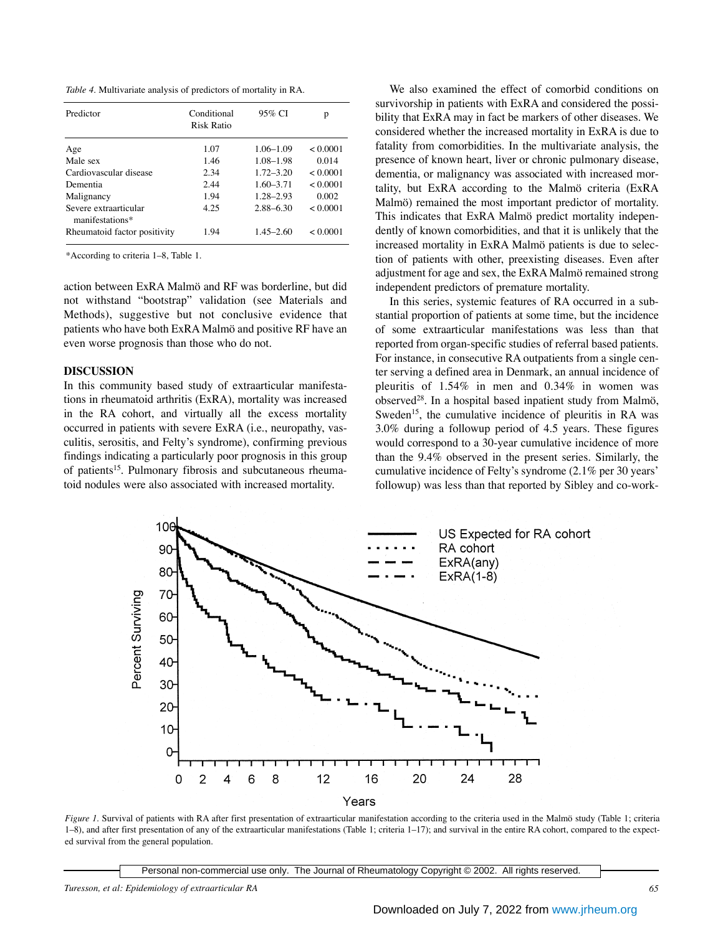*Table 4.* Multivariate analysis of predictors of mortality in RA.

| Predictor                                | Conditional<br><b>Risk Ratio</b> | 95% CI        | p        |
|------------------------------------------|----------------------------------|---------------|----------|
| Age                                      | 1.07                             | $1.06 - 1.09$ | < 0.0001 |
| Male sex                                 | 1.46                             | $1.08 - 1.98$ | 0.014    |
| Cardiovascular disease                   | 2.34                             | $1.72 - 3.20$ | < 0.0001 |
| Dementia                                 | 2.44                             | $1.60 - 3.71$ | < 0.0001 |
| Malignancy                               | 1.94                             | $1.28 - 2.93$ | 0.002    |
| Severe extraarticular<br>manifestations* | 4.25                             | $2.88 - 6.30$ | < 0.0001 |
| Rheumatoid factor positivity             | 1.94                             | $1.45 - 2.60$ | < 0.0001 |

\*According to criteria 1–8, Table 1.

action between ExRA Malmö and RF was borderline, but did not withstand "bootstrap" validation (see Materials and Methods), suggestive but not conclusive evidence that patients who have both ExRA Malmö and positive RF have an even worse prognosis than those who do not.

#### **DISCUSSION**

In this community based study of extraarticular manifestations in rheumatoid arthritis (ExRA), mortality was increased in the RA cohort, and virtually all the excess mortality occurred in patients with severe ExRA (i.e., neuropathy, vasculitis, serositis, and Felty's syndrome), confirming previous findings indicating a particularly poor prognosis in this group of patients15. Pulmonary fibrosis and subcutaneous rheumatoid nodules were also associated with increased mortality.

We also examined the effect of comorbid conditions on survivorship in patients with ExRA and considered the possibility that ExRA may in fact be markers of other diseases. We considered whether the increased mortality in ExRA is due to fatality from comorbidities. In the multivariate analysis, the presence of known heart, liver or chronic pulmonary disease, dementia, or malignancy was associated with increased mortality, but ExRA according to the Malmö criteria (ExRA Malmö) remained the most important predictor of mortality. This indicates that ExRA Malmö predict mortality independently of known comorbidities, and that it is unlikely that the increased mortality in ExRA Malmö patients is due to selection of patients with other, preexisting diseases. Even after adjustment for age and sex, the ExRA Malmö remained strong independent predictors of premature mortality.

In this series, systemic features of RA occurred in a substantial proportion of patients at some time, but the incidence of some extraarticular manifestations was less than that reported from organ-specific studies of referral based patients. For instance, in consecutive RA outpatients from a single center serving a defined area in Denmark, an annual incidence of pleuritis of 1.54% in men and 0.34% in women was observed28. In a hospital based inpatient study from Malmö, Sweden<sup>15</sup>, the cumulative incidence of pleuritis in RA was 3.0% during a followup period of 4.5 years. These figures would correspond to a 30-year cumulative incidence of more than the 9.4% observed in the present series. Similarly, the cumulative incidence of Felty's syndrome (2.1% per 30 years' followup) was less than that reported by Sibley and co-work-



*Figure 1.* Survival of patients with RA after first presentation of extraarticular manifestation according to the criteria used in the Malmö study (Table 1; criteria 1–8), and after first presentation of any of the extraarticular manifestations (Table 1; criteria 1–17); and survival in the entire RA cohort, compared to the expected survival from the general population.

Personal non-commercial use only. The Journal of Rheumatology Copyright © 2002. All rights reserved.

*Turesson, et al: Epidemiology of extraarticular RA 65*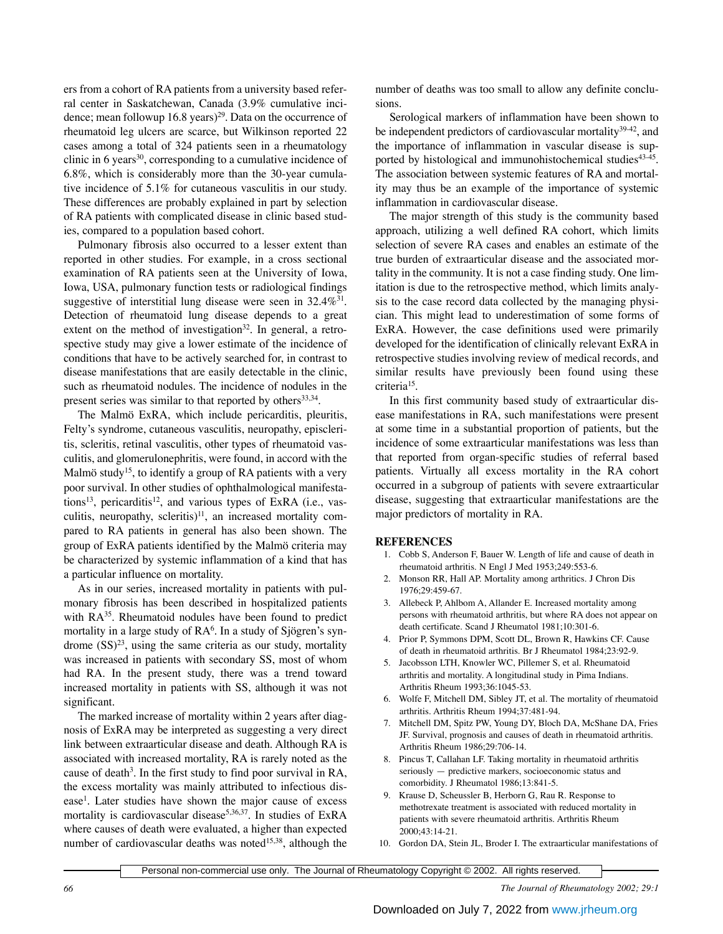ers from a cohort of RA patients from a university based referral center in Saskatchewan, Canada (3.9% cumulative incidence; mean followup 16.8 years)<sup>29</sup>. Data on the occurrence of rheumatoid leg ulcers are scarce, but Wilkinson reported 22 cases among a total of 324 patients seen in a rheumatology clinic in 6 years<sup>30</sup>, corresponding to a cumulative incidence of 6.8%, which is considerably more than the 30-year cumulative incidence of 5.1% for cutaneous vasculitis in our study. These differences are probably explained in part by selection of RA patients with complicated disease in clinic based studies, compared to a population based cohort.

Pulmonary fibrosis also occurred to a lesser extent than reported in other studies. For example, in a cross sectional examination of RA patients seen at the University of Iowa, Iowa, USA, pulmonary function tests or radiological findings suggestive of interstitial lung disease were seen in  $32.4\%^{31}$ . Detection of rheumatoid lung disease depends to a great extent on the method of investigation<sup>32</sup>. In general, a retrospective study may give a lower estimate of the incidence of conditions that have to be actively searched for, in contrast to disease manifestations that are easily detectable in the clinic, such as rheumatoid nodules. The incidence of nodules in the present series was similar to that reported by others<sup>33,34</sup>.

The Malmö ExRA, which include pericarditis, pleuritis, Felty's syndrome, cutaneous vasculitis, neuropathy, episcleritis, scleritis, retinal vasculitis, other types of rheumatoid vasculitis, and glomerulonephritis, were found, in accord with the Malmö study<sup>15</sup>, to identify a group of RA patients with a very poor survival. In other studies of ophthalmological manifestations<sup>13</sup>, pericarditis<sup>12</sup>, and various types of ExRA (i.e., vasculitis, neuropathy, scleritis) $11$ , an increased mortality compared to RA patients in general has also been shown. The group of ExRA patients identified by the Malmö criteria may be characterized by systemic inflammation of a kind that has a particular influence on mortality.

As in our series, increased mortality in patients with pulmonary fibrosis has been described in hospitalized patients with  $RA^{35}$ . Rheumatoid nodules have been found to predict mortality in a large study of RA<sup>6</sup>. In a study of Sjögren's syndrome  $(SS)^{23}$ , using the same criteria as our study, mortality was increased in patients with secondary SS, most of whom had RA. In the present study, there was a trend toward increased mortality in patients with SS, although it was not significant.

The marked increase of mortality within 2 years after diagnosis of ExRA may be interpreted as suggesting a very direct link between extraarticular disease and death. Although RA is associated with increased mortality, RA is rarely noted as the cause of death<sup>3</sup>. In the first study to find poor survival in RA, the excess mortality was mainly attributed to infectious disease<sup>1</sup>. Later studies have shown the major cause of excess mortality is cardiovascular disease<sup>5,36,37</sup>. In studies of ExRA where causes of death were evaluated, a higher than expected number of cardiovascular deaths was noted<sup>15,38</sup>, although the number of deaths was too small to allow any definite conclusions.

Serological markers of inflammation have been shown to be independent predictors of cardiovascular mortality<sup>39-42</sup>, and the importance of inflammation in vascular disease is supported by histological and immunohistochemical studies<sup>43-45</sup>. The association between systemic features of RA and mortality may thus be an example of the importance of systemic inflammation in cardiovascular disease.

The major strength of this study is the community based approach, utilizing a well defined RA cohort, which limits selection of severe RA cases and enables an estimate of the true burden of extraarticular disease and the associated mortality in the community. It is not a case finding study. One limitation is due to the retrospective method, which limits analysis to the case record data collected by the managing physician. This might lead to underestimation of some forms of ExRA. However, the case definitions used were primarily developed for the identification of clinically relevant ExRA in retrospective studies involving review of medical records, and similar results have previously been found using these criteria15.

In this first community based study of extraarticular disease manifestations in RA, such manifestations were present at some time in a substantial proportion of patients, but the incidence of some extraarticular manifestations was less than that reported from organ-specific studies of referral based patients. Virtually all excess mortality in the RA cohort occurred in a subgroup of patients with severe extraarticular disease, suggesting that extraarticular manifestations are the major predictors of mortality in RA.

# **REFERENCES**

- 1. Cobb S, Anderson F, Bauer W. Length of life and cause of death in rheumatoid arthritis. N Engl J Med 1953;249:553-6.
- 2. Monson RR, Hall AP. Mortality among arthritics. J Chron Dis 1976;29:459-67.
- 3. Allebeck P, Ahlbom A, Allander E. Increased mortality among persons with rheumatoid arthritis, but where RA does not appear on death certificate. Scand J Rheumatol 1981;10:301-6.
- 4. Prior P, Symmons DPM, Scott DL, Brown R, Hawkins CF. Cause of death in rheumatoid arthritis. Br J Rheumatol 1984;23:92-9.
- 5. Jacobsson LTH, Knowler WC, Pillemer S, et al. Rheumatoid arthritis and mortality. A longitudinal study in Pima Indians. Arthritis Rheum 1993;36:1045-53.
- 6. Wolfe F, Mitchell DM, Sibley JT, et al. The mortality of rheumatoid arthritis. Arthritis Rheum 1994;37:481-94.
- 7. Mitchell DM, Spitz PW, Young DY, Bloch DA, McShane DA, Fries JF. Survival, prognosis and causes of death in rheumatoid arthritis. Arthritis Rheum 1986;29:706-14.
- 8. Pincus T, Callahan LF. Taking mortality in rheumatoid arthritis seriously — predictive markers, socioeconomic status and comorbidity. J Rheumatol 1986;13:841-5.
- 9. Krause D, Scheussler B, Herborn G, Rau R. Response to methotrexate treatment is associated with reduced mortality in patients with severe rheumatoid arthritis. Arthritis Rheum 2000;43:14-21.
- 10. Gordon DA, Stein JL, Broder I. The extraarticular manifestations of

Personal non-commercial use only. The Journal of Rheumatology Copyright © 2002. All rights reserved.

*66 The Journal of Rheumatology 2002; 29:1*